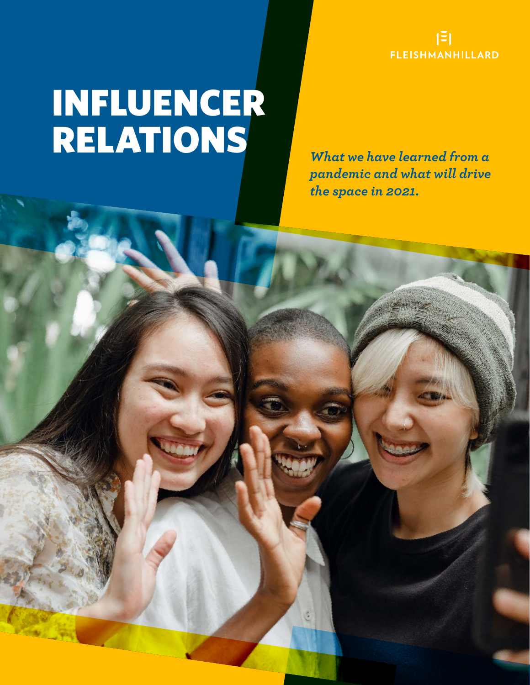

# INFLUENCER RELATIONS *What we have learned from a*

*pandemic and what will drive the space in 2021.*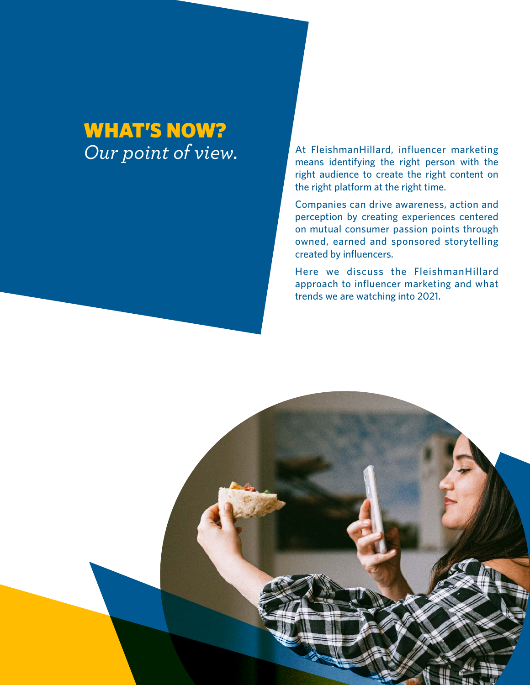### WHAT'S NOW? *Our point of view.*

At FleishmanHillard, influencer marketing means identifying the right person with the right audience to create the right content on the right platform at the right time.

Companies can drive awareness, action and perception by creating experiences centered on mutual consumer passion points through owned, earned and sponsored storytelling created by influencers.

Here we discuss the FleishmanHillard approach to influencer marketing and what trends we are watching into 2021.

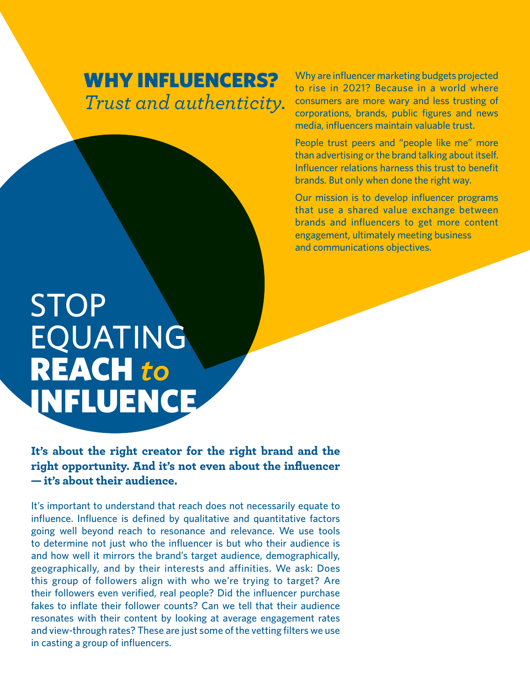#### WHY INFLUENCERS? *Trust and authenticity.*

Why are influencer marketing budgets projected to rise in 2021? Because in a world where consumers are more wary and less trusting of corporations, brands, public figures and news media, influencers maintain valuable trust.

People trust peers and "people like me" more than advertising or the brand talking about itself. Influencer relations harness this trust to benefit brands. But only when done the right way.

Our mission is to develop influencer programs that use a shared value exchange between brands and influencers to get more content engagement, ultimately meeting business and communications objectives.

## STOP EQUATING REACH *to* INFLUENCE

It's about the right creator for the right brand and the right opportunity. And it's not even about the influencer — it's about their audience.

It's important to understand that reach does not necessarily equate to influence. Influence is defined by qualitative and quantitative factors going well beyond reach to resonance and relevance. We use tools to determine not just who the influencer is but who their audience is and how well it mirrors the brand's target audience, demographically, geographically, and by their interests and affinities. We ask: Does this group of followers align with who we're trying to target? Are their followers even verified, real people? Did the influencer purchase fakes to inflate their follower counts? Can we tell that their audience resonates with their content by looking at average engagement rates and view-through rates? These are just some of the vetting filters we use in casting a group of influencers.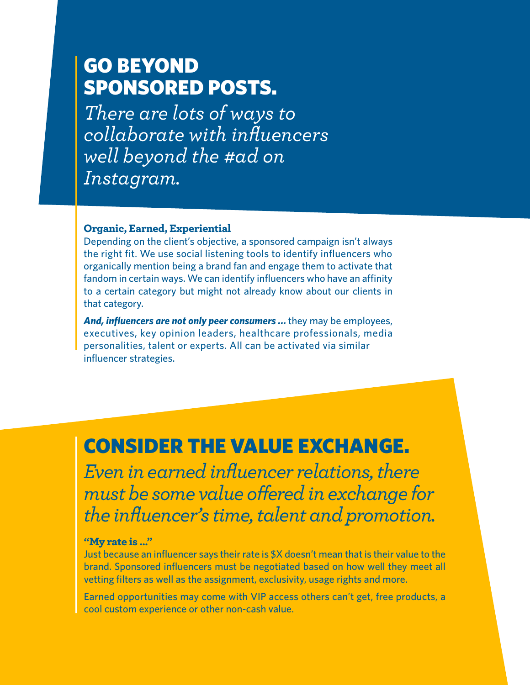#### GO BEYOND SPONSORED POSTS.

*There are lots of ways to collaborate with influencers well beyond the #ad on Instagram.*

#### Organic, Earned, Experiential

Depending on the client's objective, a sponsored campaign isn't always the right fit. We use social listening tools to identify influencers who organically mention being a brand fan and engage them to activate that fandom in certain ways. We can identify influencers who have an affinity to a certain category but might not already know about our clients in that category.

*And, influencers are not only peer consumers …* they may be employees, executives, key opinion leaders, healthcare professionals, media personalities, talent or experts. All can be activated via similar influencer strategies.

#### CONSIDER THE VALUE EXCHANGE.

*Even in earned influencer relations, there must be some value offered in exchange for the influencer's time, talent and promotion.* 

#### "My rate is …"

Just because an influencer says their rate is \$X doesn't mean that is their value to the brand. Sponsored influencers must be negotiated based on how well they meet all vetting filters as well as the assignment, exclusivity, usage rights and more.

Earned opportunities may come with VIP access others can't get, free products, a cool custom experience or other non-cash value.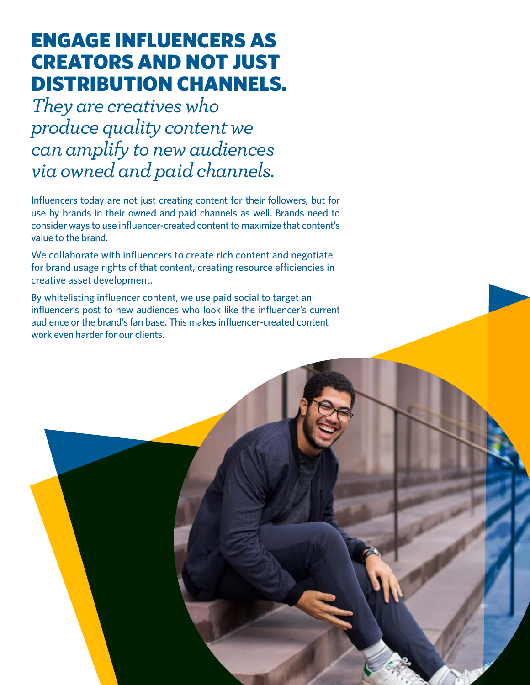### ENGAGE INFLUENCERS AS CREATORS AND NOT JUST DISTRIBUTION CHANNELS.

*They are creatives who produce quality content we can amplify to new audiences via owned and paid channels.*

Influencers today are not just creating content for their followers, but for use by brands in their owned and paid channels as well. Brands need to consider ways to use influencer-created content to maximize that content's value to the brand.

We collaborate with influencers to create rich content and negotiate for brand usage rights of that content, creating resource efficiencies in creative asset development.

By whitelisting influencer content, we use paid social to target an influencer's post to new audiences who look like the influencer's current audience or the brand's fan base. This makes influencer-created content work even harder for our clients.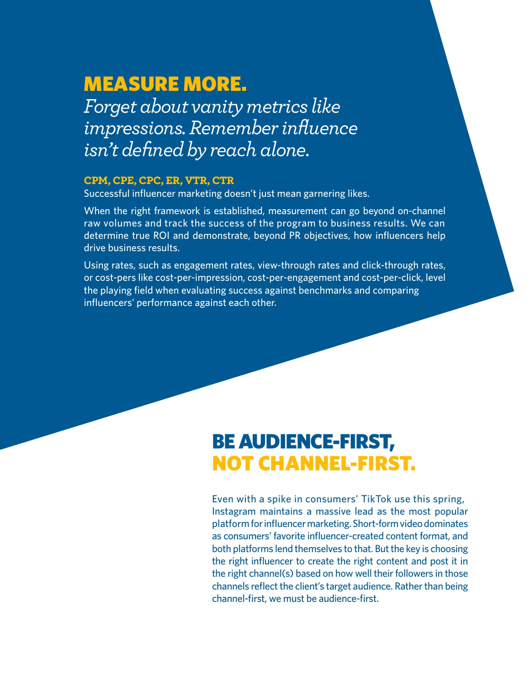### MEASURE MORE.

*Forget about vanity metrics like impressions. Remember influence isn't defined by reach alone.*

#### CPM, CPE, CPC, ER, VTR, CTR

Successful influencer marketing doesn't just mean garnering likes.

When the right framework is established, measurement can go beyond on-channel raw volumes and track the success of the program to business results. We can determine true ROI and demonstrate, beyond PR objectives, how influencers help drive business results.

Using rates, such as engagement rates, view-through rates and click-through rates, or cost-pers like cost-per-impression, cost-per-engagement and cost-per-click, level the playing field when evaluating success against benchmarks and comparing influencers' performance against each other.

#### BE AUDIENCE-FIRST, NOT CHANNEL-FIRST.

Even with a spike in consumers' TikTok use this spring, Instagram maintains a massive lead as the most popular platform for influencer marketing. Short-form video dominates as consumers' favorite influencer-created content format, and both platforms lend themselves to that. But the key is choosing the right influencer to create the right content and post it in the right channel(s) based on how well their followers in those channels reflect the client's target audience. Rather than being channel-first, we must be audience-first.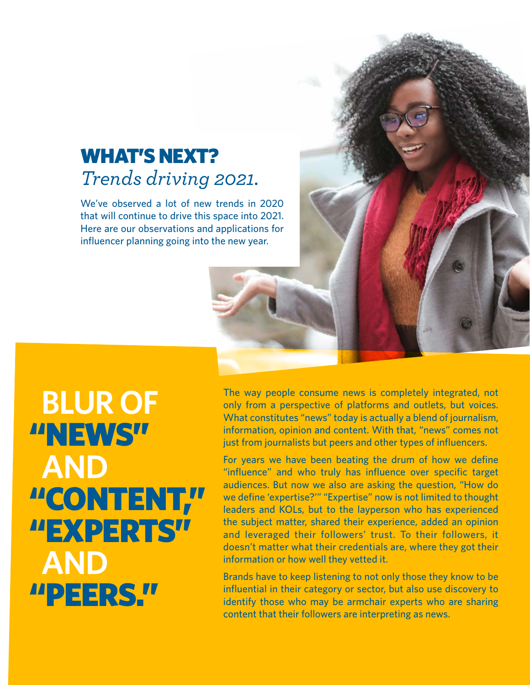#### WHAT'S NEXT? *Trends driving 2021.*

We've observed a lot of new trends in 2020 that will continue to drive this space into 2021. Here are our observations and applications for influencer planning going into the new year.

 **BLUR OF** "NEWS" **AND** "CONTENT," "EXPERTS" **AND** "PEERS."

The way people consume news is completely integrated, not only from a perspective of platforms and outlets, but voices. What constitutes "news" today is actually a blend of journalism, information, opinion and content. With that, "news" comes not just from journalists but peers and other types of influencers.

For years we have been beating the drum of how we define "influence" and who truly has influence over specific target audiences. But now we also are asking the question, "How do we define 'expertise?'" "Expertise" now is not limited to thought leaders and KOLs, but to the layperson who has experienced the subject matter, shared their experience, added an opinion and leveraged their followers' trust. To their followers, it doesn't matter what their credentials are, where they got their information or how well they vetted it.

Brands have to keep listening to not only those they know to be influential in their category or sector, but also use discovery to identify those who may be armchair experts who are sharing content that their followers are interpreting as news.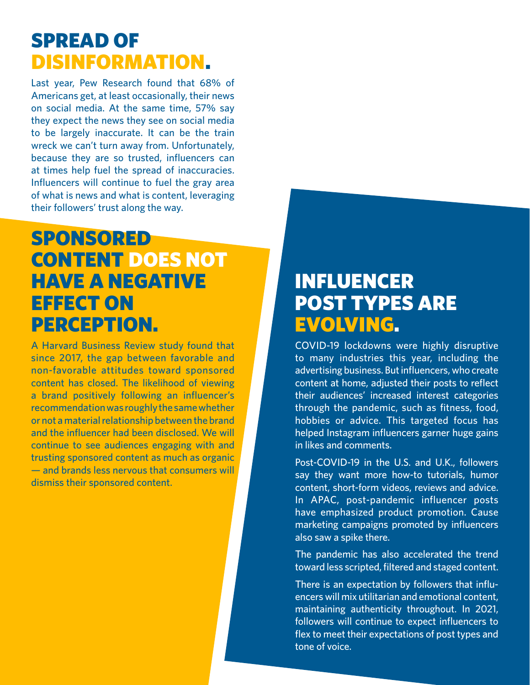#### SPREAD OF DISINFORMATION.

Last year, Pew Research found that 68% of Americans get, at least occasionally, their news on social media. At the same time, 57% say they expect the news they see on social media to be largely inaccurate. It can be the train wreck we can't turn away from. Unfortunately, because they are so trusted, influencers can at times help fuel the spread of inaccuracies. Influencers will continue to fuel the gray area of what is news and what is content, leveraging their followers' trust along the way.

#### SPONSORED CONTENT DOES NOT HAVE A NEGATIVE EFFECT ON PERCEPTION.

A Harvard Business Review study found that since 2017, the gap between favorable and non-favorable attitudes toward sponsored content has closed. The likelihood of viewing a brand positively following an influencer's recommendation was roughly the same whether or not a material relationship between the brand and the influencer had been disclosed. We will continue to see audiences engaging with and trusting sponsored content as much as organic — and brands less nervous that consumers will dismiss their sponsored content.

#### INFLUENCER POST TYPES ARE EVOLVING.

COVID-19 lockdowns were highly disruptive to many industries this year, including the advertising business. But influencers, who create content at home, adjusted their posts to reflect their audiences' increased interest categories through the pandemic, such as fitness, food, hobbies or advice. This targeted focus has helped Instagram influencers garner huge gains in likes and comments.

Post-COVID-19 in the U.S. and U.K., followers say they want more how-to tutorials, humor content, short-form videos, reviews and advice. In APAC, post-pandemic influencer posts have emphasized product promotion. Cause marketing campaigns promoted by influencers also saw a spike there.

The pandemic has also accelerated the trend toward less scripted, filtered and staged content.

There is an expectation by followers that influencers will mix utilitarian and emotional content, maintaining authenticity throughout. In 2021, followers will continue to expect influencers to flex to meet their expectations of post types and tone of voice.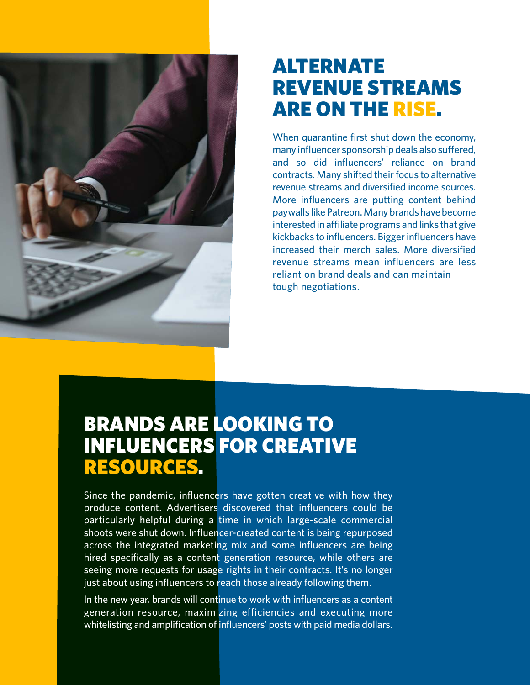

#### ALTERNATE REVENUE STREAMS ARE ON THE RISE.

When quarantine first shut down the economy, many influencer sponsorship deals also suffered, and so did influencers' reliance on brand contracts. Many shifted their focus to alternative revenue streams and diversified income sources. More influencers are putting content behind paywalls like Patreon. Many brands have become interested in affiliate programs and links that give kickbacks to influencers. Bigger influencers have increased their merch sales. More diversified revenue streams mean influencers are less reliant on brand deals and can maintain tough negotiations.

#### BRANDS ARE LOOKING TO INFLUENCERS FOR CREATIVE RESOURCES.

Since the pandemic, influencers have gotten creative with how they produce content. Advertisers discovered that influencers could be particularly helpful during a time in which large-scale commercial shoots were shut down. Influencer-created content is being repurposed across the integrated marketing mix and some influencers are being hired specifically as a content generation resource, while others are seeing more requests for usage rights in their contracts. It's no longer just about using influencers to reach those already following them.

In the new year, brands will continue to work with influencers as a content generation resource, maximizing efficiencies and executing more whitelisting and amplification of influencers' posts with paid media dollars.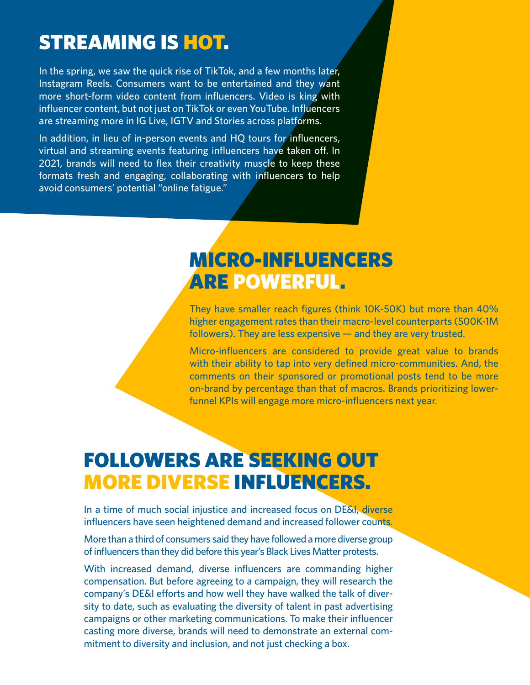### STREAMING IS HOT.

In the spring, we saw the quick rise of TikTok, and a few months later, Instagram Reels. Consumers want to be entertained and they want more short-form video content from influencers. Video is king with influencer content, but not just on TikTok or even YouTube. Influencers are streaming more in IG Live, IGTV and Stories across platforms.

In addition, in lieu of in-person events and HQ tours for influencers, virtual and streaming events featuring influencers have taken off. In 2021, brands will need to flex their creativity muscle to keep these formats fresh and engaging, collaborating with influencers to help avoid consumers' potential "online fatigue."

#### MICRO-INFLUENCERS ARE POWERFUL.

They have smaller reach figures (think 10K-50K) but more than 40% higher engagement rates than their macro-level counterparts (500K-1M followers). They are less expensive — and they are very trusted.

Micro-influencers are considered to provide great value to brands with their ability to tap into very defined micro-communities. And, the comments on their sponsored or promotional posts tend to be more on-brand by percentage than that of macros. Brands prioritizing lowerfunnel KPIs will engage more micro-influencers next year.

### FOLLOWERS ARE SEEKING OUT MORE DIVERSE INFLUENCERS.

In a time of much social injustice and increased focus on DE&I, diverse influencers have seen heightened demand and increased follower counts.

More than a third of consumers said they have followed a more diverse group of influencers than they did before this year's Black Lives Matter protests.

With increased demand, diverse influencers are commanding higher compensation. But before agreeing to a campaign, they will research the company's DE&I efforts and how well they have walked the talk of diversity to date, such as evaluating the diversity of talent in past advertising campaigns or other marketing communications. To make their influencer casting more diverse, brands will need to demonstrate an external commitment to diversity and inclusion, and not just checking a box.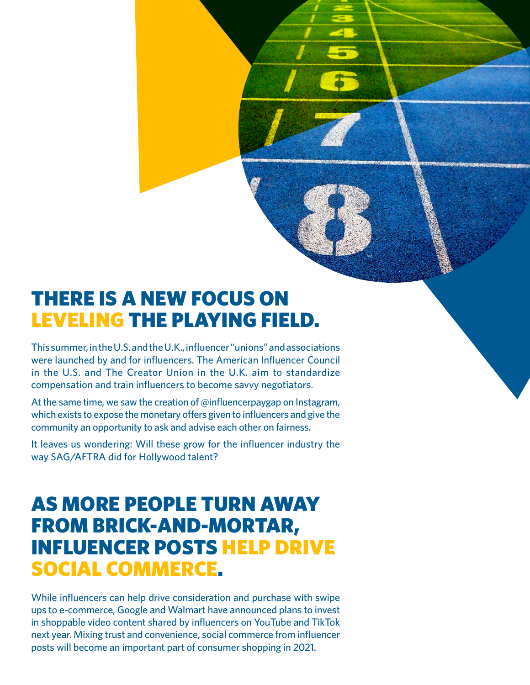#### THERE IS A NEW FOCUS ON LEVELING THE PLAYING FIELD.

This summer, in the U.S. and the U.K., influencer "unions" and associations were launched by and for influencers. The American Influencer Council in the U.S. and The Creator Union in the U.K. aim to standardize compensation and train influencers to become savvy negotiators.

At the same time, we saw the creation of @influencerpaygap on Instagram, which exists to expose the monetary offers given to influencers and give the community an opportunity to ask and advise each other on fairness.

It leaves us wondering: Will these grow for the influencer industry the way SAG/AFTRA did for Hollywood talent?

#### AS MORE PEOPLE TURN AWAY FROM BRICK-AND-MORTAR, INFLUENCER POSTS HELP DRIVE SOCIAL COMMERCE.

While influencers can help drive consideration and purchase with swipe ups to e-commerce, Google and Walmart have announced plans to invest in shoppable video content shared by influencers on YouTube and TikTok next year. Mixing trust and convenience, social commerce from influencer posts will become an important part of consumer shopping in 2021.